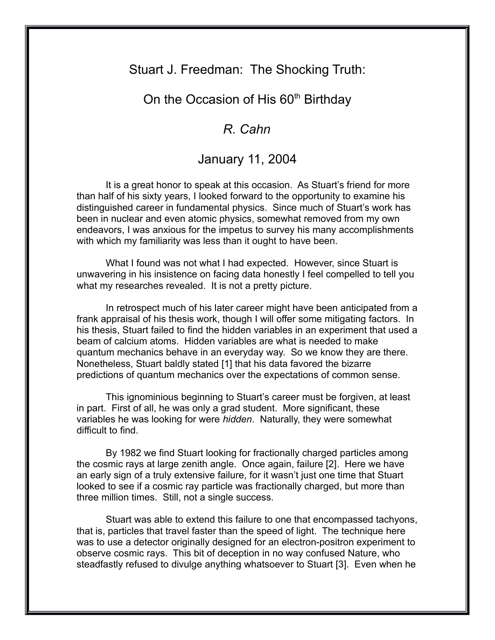## Stuart J. Freedman: The Shocking Truth:

## On the Occasion of His 60<sup>th</sup> Birthday

## *R. Cahn*

## January 11, 2004

It is a great honor to speak at this occasion. As Stuart's friend for more than half of his sixty years, I looked forward to the opportunity to examine his distinguished career in fundamental physics. Since much of Stuart's work has been in nuclear and even atomic physics, somewhat removed from my own endeavors, I was anxious for the impetus to survey his many accomplishments with which my familiarity was less than it ought to have been.

What I found was not what I had expected. However, since Stuart is unwavering in his insistence on facing data honestly I feel compelled to tell you what my researches revealed. It is not a pretty picture.

In retrospect much of his later career might have been anticipated from a frank appraisal of his thesis work, though I will offer some mitigating factors. In his thesis, Stuart failed to find the hidden variables in an experiment that used a beam of calcium atoms. Hidden variables are what is needed to make quantum mechanics behave in an everyday way. So we know they are there. Nonetheless, Stuart baldly stated [1] that his data favored the bizarre predictions of quantum mechanics over the expectations of common sense.

This ignominious beginning to Stuart's career must be forgiven, at least in part. First of all, he was only a grad student. More significant, these variables he was looking for were *hidden*. Naturally, they were somewhat difficult to find.

By 1982 we find Stuart looking for fractionally charged particles among the cosmic rays at large zenith angle. Once again, failure [2]. Here we have an early sign of a truly extensive failure, for it wasn't just one time that Stuart looked to see if a cosmic ray particle was fractionally charged, but more than three million times. Still, not a single success.

Stuart was able to extend this failure to one that encompassed tachyons, that is, particles that travel faster than the speed of light. The technique here was to use a detector originally designed for an electron-positron experiment to observe cosmic rays. This bit of deception in no way confused Nature, who steadfastly refused to divulge anything whatsoever to Stuart [3]. Even when he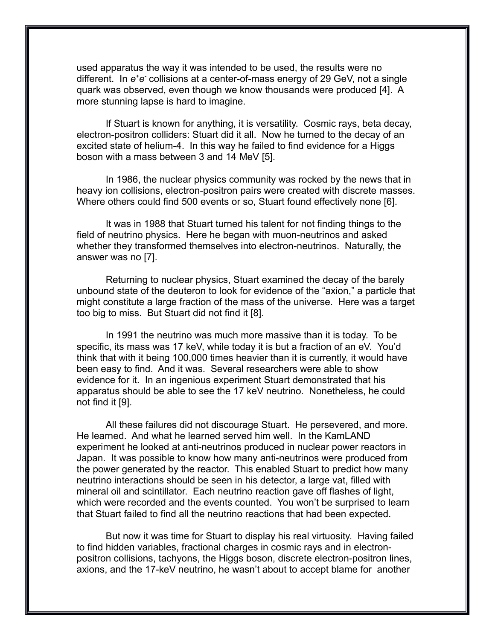used apparatus the way it was intended to be used, the results were no different. In  $e^+e^-$  collisions at a center-of-mass energy of 29 GeV, not a single quark was observed, even though we know thousands were produced [4]. A more stunning lapse is hard to imagine.

If Stuart is known for anything, it is versatility. Cosmic rays, beta decay, electron-positron colliders: Stuart did it all. Now he turned to the decay of an excited state of helium-4. In this way he failed to find evidence for a Higgs boson with a mass between 3 and 14 MeV [5].

In 1986, the nuclear physics community was rocked by the news that in heavy ion collisions, electron-positron pairs were created with discrete masses. Where others could find 500 events or so, Stuart found effectively none [6].

It was in 1988 that Stuart turned his talent for not finding things to the field of neutrino physics. Here he began with muon-neutrinos and asked whether they transformed themselves into electron-neutrinos. Naturally, the answer was no [7].

Returning to nuclear physics, Stuart examined the decay of the barely unbound state of the deuteron to look for evidence of the "axion," a particle that might constitute a large fraction of the mass of the universe. Here was a target too big to miss. But Stuart did not find it [8].

In 1991 the neutrino was much more massive than it is today. To be specific, its mass was 17 keV, while today it is but a fraction of an eV. You'd think that with it being 100,000 times heavier than it is currently, it would have been easy to find. And it was. Several researchers were able to show evidence for it. In an ingenious experiment Stuart demonstrated that his apparatus should be able to see the 17 keV neutrino. Nonetheless, he could not find it [9].

All these failures did not discourage Stuart. He persevered, and more. He learned. And what he learned served him well. In the KamLAND experiment he looked at anti-neutrinos produced in nuclear power reactors in Japan. It was possible to know how many anti-neutrinos were produced from the power generated by the reactor. This enabled Stuart to predict how many neutrino interactions should be seen in his detector, a large vat, filled with mineral oil and scintillator. Each neutrino reaction gave off flashes of light, which were recorded and the events counted. You won't be surprised to learn that Stuart failed to find all the neutrino reactions that had been expected.

But now it was time for Stuart to display his real virtuosity. Having failed to find hidden variables, fractional charges in cosmic rays and in electronpositron collisions, tachyons, the Higgs boson, discrete electron-positron lines, axions, and the 17-keV neutrino, he wasn't about to accept blame for another